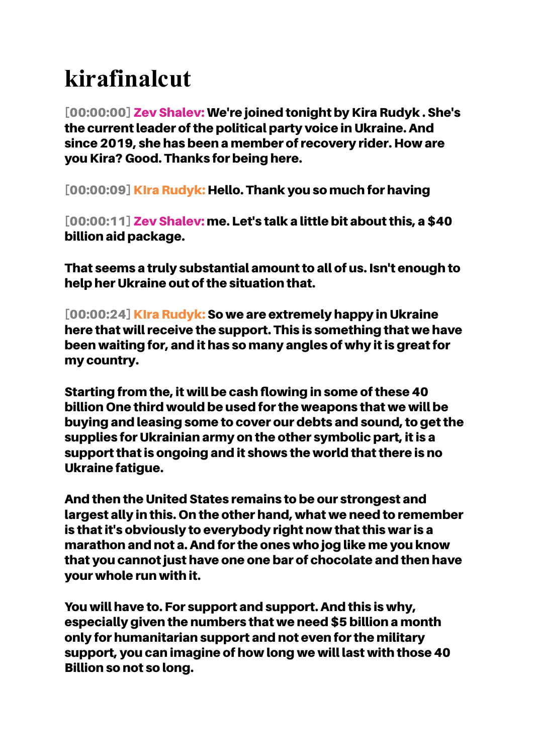## **kirafinalcut**

[00:00:00] Zev Shalev: We're joined tonight by Kira Rudyk . She's the current leader of the political party voice in Ukraine. And since 2019, she has been a member of recovery rider. How are you Kira? Good. Thanks for being here.

[00:00:09] KIra Rudyk: Hello. Thank you so much for having

[00:00:11] Zev Shalev: me. Let's talk a little bit about this, a \$40 billion aid package.

That seems a truly substantial amount to all of us. Isn't enough to help her Ukraine out of the situation that.

[00:00:24] KIra Rudyk: So we are extremely happy in Ukraine here that will receive the support. This is something that we have been waiting for, and it has so many angles of why it is great for my country.

Starting from the, it will be cash flowing in some of these 40 billion One third would be used for the weapons that we will be buying and leasing some to cover our debts and sound, to get the supplies for Ukrainian army on the other symbolic part, it is a support that is ongoing and it shows the world that there is no Ukraine fatigue.

And then the United States remains to be our strongest and largest ally in this. On the other hand, what we need to remember is that it's obviously to everybody right now that this war is a marathon and not a. And for the ones who jog like me you know that you cannot just have one one bar of chocolate and then have your whole run with it.

You will have to. For support and support. And this is why, especially given the numbers that we need \$5 billion a month only for humanitarian support and not even for the military support, you can imagine of how long we will last with those 40 Billion so not so long.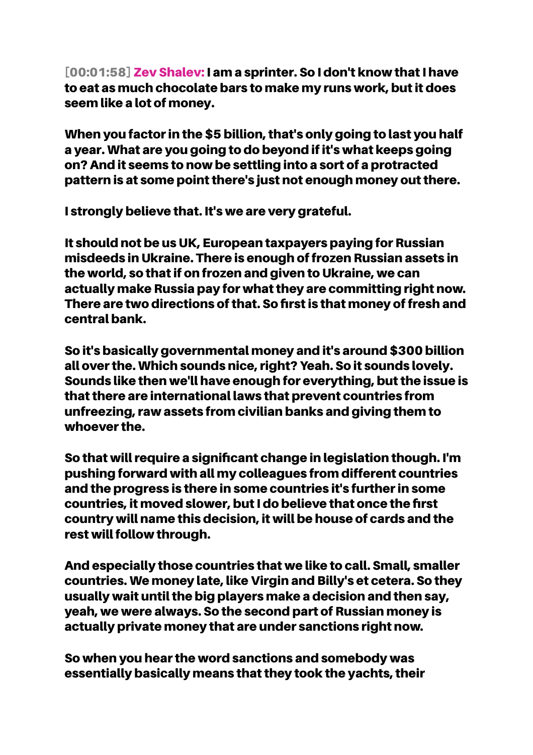[00:01:58] Zev Shalev: I am a sprinter. So I don't know that I have to eat as much chocolate bars to make my runs work, but it does seem like a lot of money.

When you factor in the \$5 billion, that's only going to last you half a year. What are you going to do beyond if it's what keeps going on? And it seems to now be settling into a sort of a protracted pattern is at some point there's just not enough money out there.

I strongly believe that. It's we are very grateful.

It should not be us UK, European taxpayers paying for Russian misdeeds in Ukraine. There is enough of frozen Russian assets in the world, so that if on frozen and given to Ukraine, we can actually make Russia pay for what they are committing right now. There are two directions of that. So first is that money of fresh and central bank.

So it's basically governmental money and it's around \$300 billion all over the. Which sounds nice, right? Yeah. So it sounds lovely. Sounds like then we'll have enough for everything, but the issue is that there are international laws that prevent countries from unfreezing, raw assets from civilian banks and giving them to whoever the.

So that will require a significant change in legislation though. I'm pushing forward with all my colleagues from different countries and the progress is there in some countries it's further in some countries, it moved slower, but I do believe that once the first country will name this decision, it will be house of cards and the rest will follow through.

And especially those countries that we like to call. Small, smaller countries. We money late, like Virgin and Billy's et cetera. So they usually wait until the big players make a decision and then say, yeah, we were always. So the second part of Russian money is actually private money that are under sanctions right now.

So when you hear the word sanctions and somebody was essentially basically means that they took the yachts, their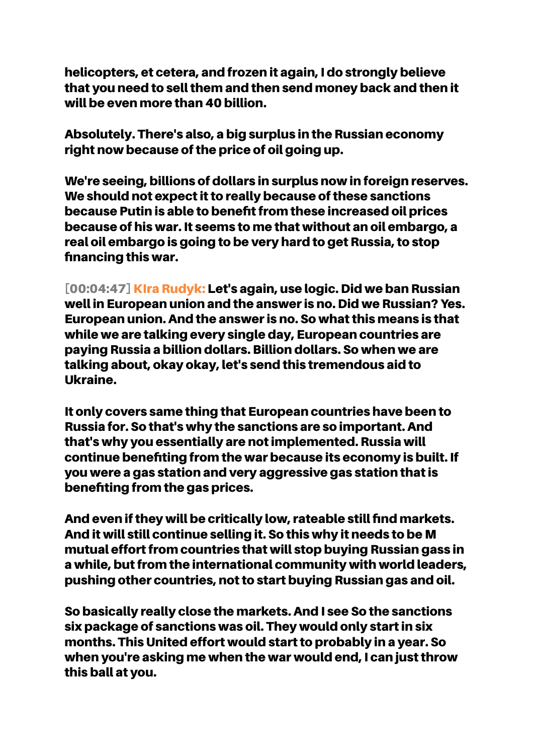helicopters, et cetera, and frozen it again, I do strongly believe that you need to sell them and then send money back and then it will be even more than 40 billion.

Absolutely. There's also, a big surplus in the Russian economy right now because of the price of oil going up.

We're seeing, billions of dollars in surplus now in foreign reserves. We should not expect it to really because of these sanctions because Putin is able to benefit from these increased oil prices because of his war. It seems to me that without an oil embargo, a real oil embargo is going to be very hard to get Russia, to stop financing this war.

[00:04:47] KIra Rudyk: Let's again, use logic. Did we ban Russian well in European union and the answer is no. Did we Russian? Yes. European union. And the answer is no. So what this means is that while we are talking every single day, European countries are paying Russia a billion dollars. Billion dollars. So when we are talking about, okay okay, let's send this tremendous aid to Ukraine.

It only covers same thing that European countries have been to Russia for. So that's why the sanctions are so important. And that's why you essentially are not implemented. Russia will continue benefiting from the war because its economy is built. If you were a gas station and very aggressive gas station that is benefiting from the gas prices.

And even if they will be critically low, rateable still find markets. And it will still continue selling it. So this why it needs to be M mutual effort from countries that will stop buying Russian gass in a while, but from the international community with world leaders, pushing other countries, not to start buying Russian gas and oil.

So basically really close the markets. And I see So the sanctions six package of sanctions was oil. They would only start in six months. This United effort would start to probably in a year. So when you're asking me when the war would end, I can just throw this ball at you.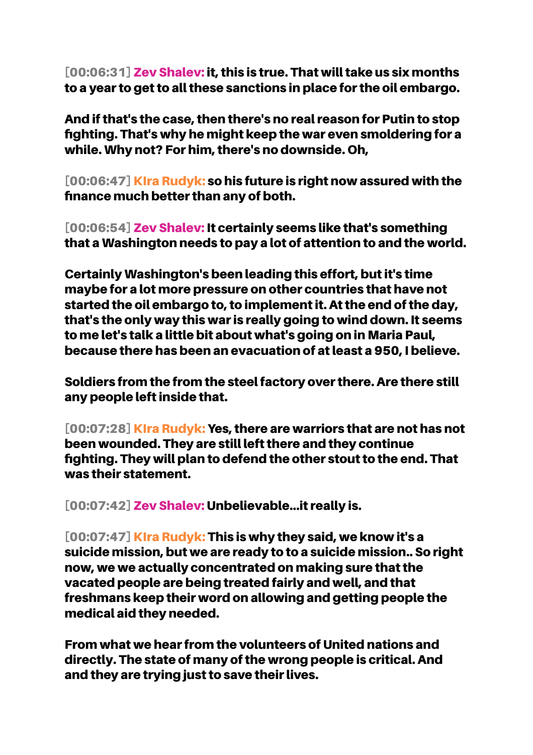[00:06:31] Zev Shalev: it, this is true. That will take us six months to a year to get to all these sanctions in place for the oil embargo.

And if that's the case, then there's no real reason for Putin to stop fighting. That's why he might keep the war even smoldering for a while. Why not? For him, there's no downside. Oh,

[00:06:47] KIra Rudyk: so his future is right now assured with the finance much better than any of both.

[00:06:54] Zev Shalev: It certainly seems like that's something that a Washington needs to pay a lot of attention to and the world.

Certainly Washington's been leading this effort, but it's time maybe for a lot more pressure on other countries that have not started the oil embargo to, to implement it. At the end of the day, that's the only way this war is really going to wind down. It seems to me let's talk a little bit about what's going on in Maria Paul, because there has been an evacuation of at least a 950, I believe.

Soldiers from the from the steel factory over there. Are there still any people left inside that.

[00:07:28] KIra Rudyk: Yes, there are warriors that are not has not been wounded. They are still left there and they continue fighting. They will plan to defend the other stout to the end. That was their statement.

[00:07:42] Zev Shalev: Unbelievable...it really is.

[00:07:47] KIra Rudyk: This is why they said, we know it's a suicide mission, but we are ready to to a suicide mission.. So right now, we we actually concentrated on making sure that the vacated people are being treated fairly and well, and that freshmans keep their word on allowing and getting people the medical aid they needed.

From what we hear from the volunteers of United nations and directly. The state of many of the wrong people is critical. And and they are trying just to save their lives.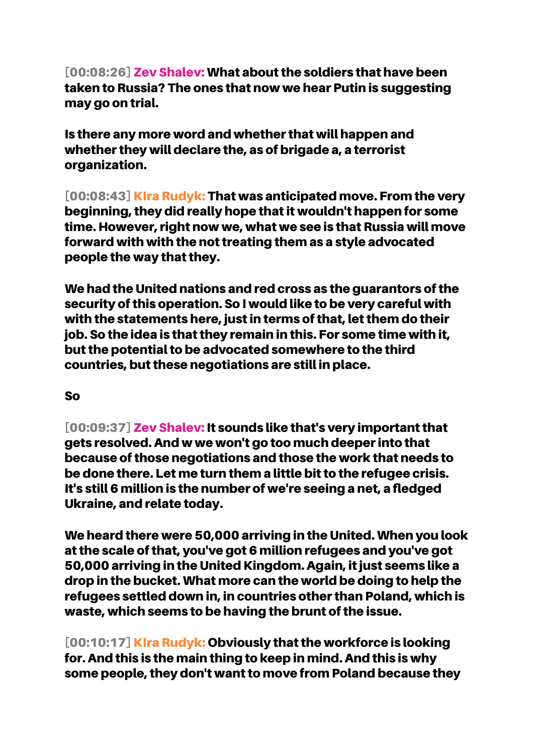[00:08:26] Zev Shalev: What about the soldiers that have been taken to Russia? The ones that now we hear Putin is suggesting may go on trial.

Is there any more word and whether that will happen and whether they will declare the, as of brigade a, a terrorist organization.

[00:08:43] KIra Rudyk: That was anticipated move. From the very beginning, they did really hope that it wouldn't happen for some time. However, right now we, what we see is that Russia will move forward with with the not treating them as a style advocated people the way that they.

We had the United nations and red cross as the guarantors of the security of this operation. So I would like to be very careful with with the statements here, just in terms of that, let them do their job. So the idea is that they remain in this. For some time with it, but the potential to be advocated somewhere to the third countries, but these negotiations are still in place.

## So

[00:09:37] Zev Shalev: It sounds like that's very important that gets resolved. And w we won't go too much deeper into that because of those negotiations and those the work that needs to be done there. Let me turn them a little bit to the refugee crisis. It's still 6 million is the number of we're seeing a net, a fledged Ukraine, and relate today.

We heard there were 50,000 arriving in the United. When you look at the scale of that, you've got 6 million refugees and you've got 50,000 arriving in the United Kingdom. Again, it just seems like a drop in the bucket. What more can the world be doing to help the refugees settled down in, in countries other than Poland, which is waste, which seems to be having the brunt of the issue.

[00:10:17] KIra Rudyk: Obviously that the workforce is looking for. And this is the main thing to keep in mind. And this is why some people, they don't want to move from Poland because they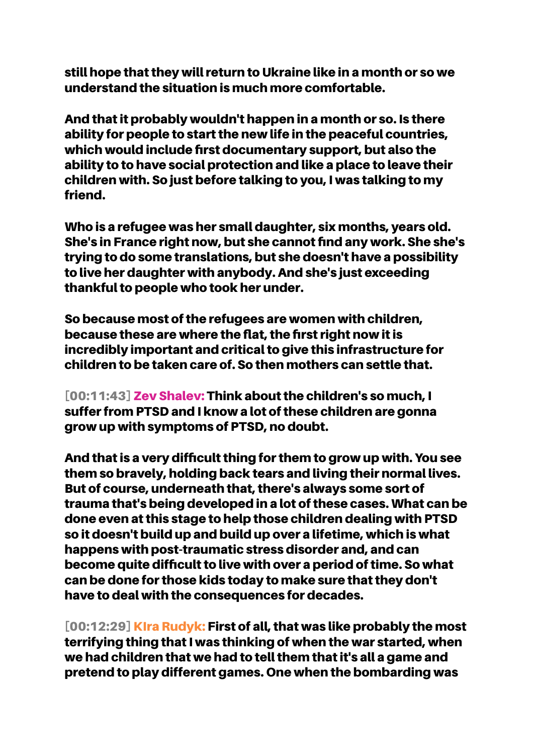still hope that they will return to Ukraine like in a month or so we understand the situation is much more comfortable.

And that it probably wouldn't happen in a month or so. Is there ability for people to start the new life in the peaceful countries, which would include first documentary support, but also the ability to to have social protection and like a place to leave their children with. So just before talking to you, I was talking to my friend.

Who is a refugee was her small daughter, six months, years old. She's in France right now, but she cannot find any work. She she's trying to do some translations, but she doesn't have a possibility to live her daughter with anybody. And she's just exceeding thankful to people who took her under.

So because most of the refugees are women with children, because these are where the flat, the first right now it is incredibly important and critical to give this infrastructure for children to be taken care of. So then mothers can settle that.

[00:11:43] Zev Shalev: Think about the children's so much, I suffer from PTSD and I know a lot of these children are gonna grow up with symptoms of PTSD, no doubt.

And that is a very difficult thing for them to grow up with. You see them so bravely, holding back tears and living their normal lives. But of course, underneath that, there's always some sort of trauma that's being developed in a lot of these cases. What can be done even at this stage to help those children dealing with PTSD so it doesn't build up and build up over a lifetime, which is what happens with post-traumatic stress disorder and, and can become quite difficult to live with over a period of time. So what can be done for those kids today to make sure that they don't have to deal with the consequences for decades.

[00:12:29] KIra Rudyk: First of all, that was like probably the most terrifying thing that I was thinking of when the war started, when we had children that we had to tell them that it's all a game and pretend to play different games. One when the bombarding was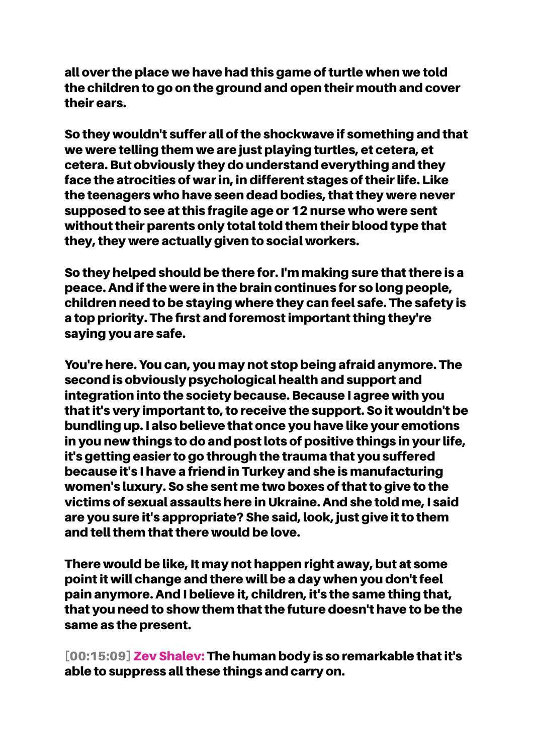all over the place we have had this game of turtle when we told the children to go on the ground and open their mouth and cover their ears.

So they wouldn't suffer all of the shockwave if something and that we were telling them we are just playing turtles, et cetera, et cetera. But obviously they do understand everything and they face the atrocities of war in, in different stages of their life. Like the teenagers who have seen dead bodies, that they were never supposed to see at this fragile age or 12 nurse who were sent without their parents only total told them their blood type that they, they were actually given to social workers.

So they helped should be there for. I'm making sure that there is a peace. And if the were in the brain continues for so long people, children need to be staying where they can feel safe. The safety is a top priority. The first and foremost important thing they're saying you are safe.

You're here. You can, you may not stop being afraid anymore. The second is obviously psychological health and support and integration into the society because. Because I agree with you that it's very important to, to receive the support. So it wouldn't be bundling up. I also believe that once you have like your emotions in you new things to do and post lots of positive things in your life, it's getting easier to go through the trauma that you suffered because it's I have a friend in Turkey and she is manufacturing women's luxury. So she sent me two boxes of that to give to the victims of sexual assaults here in Ukraine. And she told me, I said are you sure it's appropriate? She said, look, just give it to them and tell them that there would be love.

There would be like, It may not happen right away, but at some point it will change and there will be a day when you don't feel pain anymore. And I believe it, children, it's the same thing that, that you need to show them that the future doesn't have to be the same as the present.

[00:15:09] Zev Shalev: The human body is so remarkable that it's able to suppress all these things and carry on.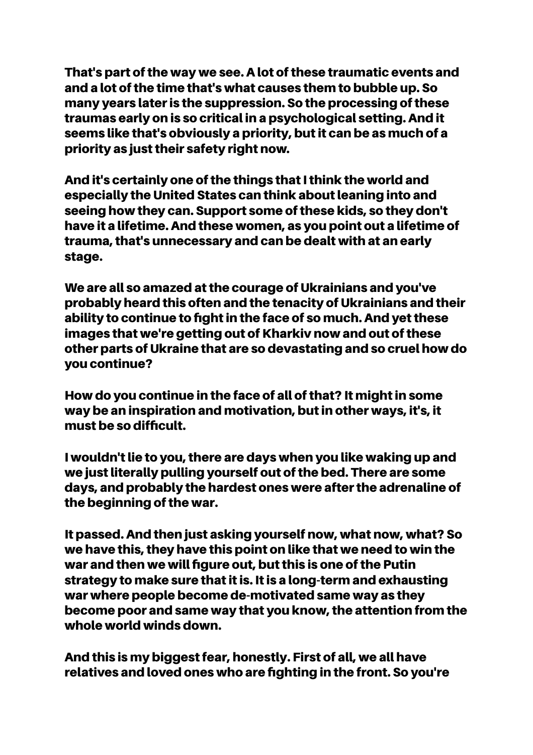That's part of the way we see. A lot of these traumatic events and and a lot of the time that's what causes them to bubble up. So many years later is the suppression. So the processing of these traumas early on is so critical in a psychological setting. And it seems like that's obviously a priority, but it can be as much of a priority as just their safety right now.

And it's certainly one of the things that I think the world and especially the United States can think about leaning into and seeing how they can. Support some of these kids, so they don't have it a lifetime. And these women, as you point out a lifetime of trauma, that's unnecessary and can be dealt with at an early stage.

We are all so amazed at the courage of Ukrainians and you've probably heard this often and the tenacity of Ukrainians and their ability to continue to fight in the face of so much. And yet these images that we're getting out of Kharkiv now and out of these other parts of Ukraine that are so devastating and so cruel how do you continue?

How do you continue in the face of all of that? It might in some way be an inspiration and motivation, but in other ways, it's, it must be so difficult.

I wouldn't lie to you, there are days when you like waking up and we just literally pulling yourself out of the bed. There are some days, and probably the hardest ones were after the adrenaline of the beginning of the war.

It passed. And then just asking yourself now, what now, what? So we have this, they have this point on like that we need to win the war and then we will figure out, but this is one of the Putin strategy to make sure that it is. It is a long-term and exhausting war where people become de-motivated same way as they become poor and same way that you know, the attention from the whole world winds down.

And this is my biggest fear, honestly. First of all, we all have relatives and loved ones who are fighting in the front. So you're